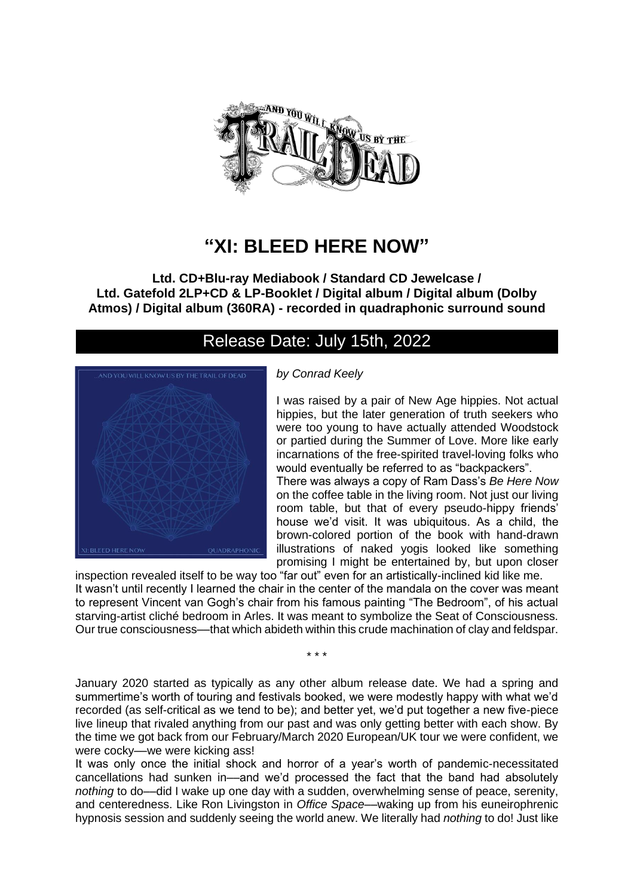

# **"XI: BLEED HERE NOW"**

**Ltd. CD+Blu-ray Mediabook / Standard CD Jewelcase / Ltd. Gatefold 2LP+CD & LP-Booklet / Digital album / Digital album (Dolby Atmos) / Digital album (360RA) - recorded in quadraphonic surround sound**

## Release Date: July 15th, 2022



### *by Conrad Keely*

I was raised by a pair of New Age hippies. Not actual hippies, but the later generation of truth seekers who were too young to have actually attended Woodstock or partied during the Summer of Love. More like early incarnations of the free-spirited travel-loving folks who would eventually be referred to as "backpackers". There was always a copy of Ram Dass's *Be Here Now*  on the coffee table in the living room. Not just our living room table, but that of every pseudo-hippy friends' house we'd visit. It was ubiquitous. As a child, the brown-colored portion of the book with hand-drawn

promising I might be entertained by, but upon closer inspection revealed itself to be way too "far out" even for an artistically-inclined kid like me. It wasn't until recently I learned the chair in the center of the mandala on the cover was meant to represent Vincent van Gogh's chair from his famous painting "The Bedroom", of his actual starving-artist cliché bedroom in Arles. It was meant to symbolize the Seat of Consciousness. Our true consciousness––that which abideth within this crude machination of clay and feldspar.

\* \* \*

January 2020 started as typically as any other album release date. We had a spring and summertime's worth of touring and festivals booked, we were modestly happy with what we'd recorded (as self-critical as we tend to be); and better yet, we'd put together a new five-piece live lineup that rivaled anything from our past and was only getting better with each show. By the time we got back from our February/March 2020 European/UK tour we were confident, we were cocky––we were kicking ass!

It was only once the initial shock and horror of a year's worth of pandemic-necessitated cancellations had sunken in––and we'd processed the fact that the band had absolutely *nothing* to do––did I wake up one day with a sudden, overwhelming sense of peace, serenity, and centeredness. Like Ron Livingston in *Office Space––*waking up from his euneirophrenic hypnosis session and suddenly seeing the world anew. We literally had *nothing* to do! Just like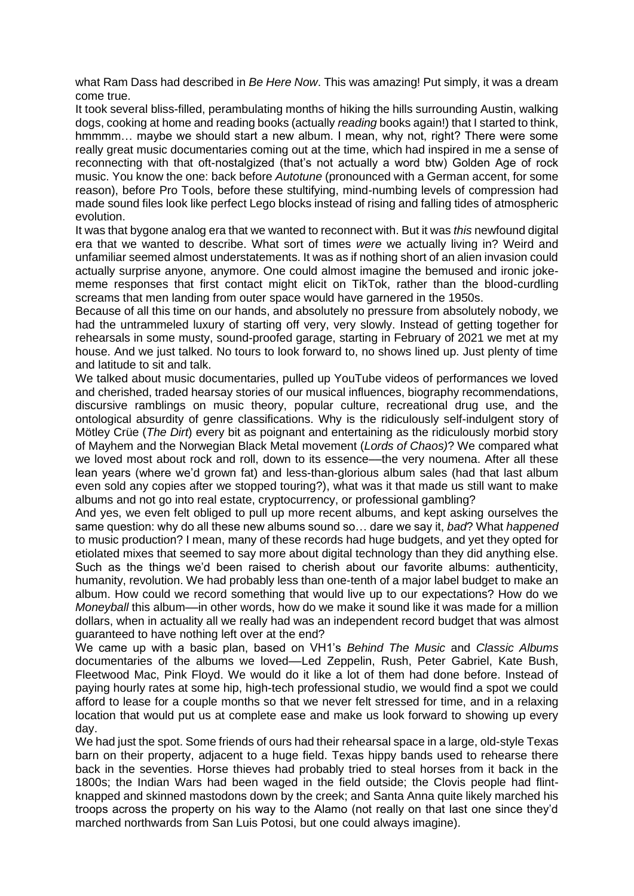what Ram Dass had described in *Be Here Now*. This was amazing! Put simply, it was a dream come true.

It took several bliss-filled, perambulating months of hiking the hills surrounding Austin, walking dogs, cooking at home and reading books (actually *reading* books again!) that I started to think, hmmmm... maybe we should start a new album. I mean, why not, right? There were some really great music documentaries coming out at the time, which had inspired in me a sense of reconnecting with that oft-nostalgized (that's not actually a word btw) Golden Age of rock music. You know the one: back before *Autotune* (pronounced with a German accent, for some reason), before Pro Tools, before these stultifying, mind-numbing levels of compression had made sound files look like perfect Lego blocks instead of rising and falling tides of atmospheric evolution.

It was that bygone analog era that we wanted to reconnect with. But it was *this* newfound digital era that we wanted to describe. What sort of times *were* we actually living in? Weird and unfamiliar seemed almost understatements. It was as if nothing short of an alien invasion could actually surprise anyone, anymore. One could almost imagine the bemused and ironic jokememe responses that first contact might elicit on TikTok, rather than the blood-curdling screams that men landing from outer space would have garnered in the 1950s.

Because of all this time on our hands, and absolutely no pressure from absolutely nobody, we had the untrammeled luxury of starting off very, very slowly. Instead of getting together for rehearsals in some musty, sound-proofed garage, starting in February of 2021 we met at my house. And we just talked. No tours to look forward to, no shows lined up. Just plenty of time and latitude to sit and talk.

We talked about music documentaries, pulled up YouTube videos of performances we loved and cherished, traded hearsay stories of our musical influences, biography recommendations, discursive ramblings on music theory, popular culture, recreational drug use, and the ontological absurdity of genre classifications. Why is the ridiculously self-indulgent story of Mötley Crüe (*The Dirt*) every bit as poignant and entertaining as the ridiculously morbid story of Mayhem and the Norwegian Black Metal movement (*Lords of Chaos)*? We compared what we loved most about rock and roll, down to its essence—the very noumena. After all these lean years (where we'd grown fat) and less-than-glorious album sales (had that last album even sold any copies after we stopped touring?), what was it that made us still want to make albums and not go into real estate, cryptocurrency, or professional gambling?

And yes, we even felt obliged to pull up more recent albums, and kept asking ourselves the same question: why do all these new albums sound so… dare we say it, *bad*? What *happened*  to music production? I mean, many of these records had huge budgets, and yet they opted for etiolated mixes that seemed to say more about digital technology than they did anything else. Such as the things we'd been raised to cherish about our favorite albums: authenticity, humanity, revolution. We had probably less than one-tenth of a major label budget to make an album. How could we record something that would live up to our expectations? How do we *Moneyball* this album—in other words, how do we make it sound like it was made for a million dollars, when in actuality all we really had was an independent record budget that was almost guaranteed to have nothing left over at the end?

We came up with a basic plan, based on VH1's *Behind The Music* and *Classic Albums*  documentaries of the albums we loved––Led Zeppelin, Rush, Peter Gabriel, Kate Bush, Fleetwood Mac, Pink Floyd. We would do it like a lot of them had done before. Instead of paying hourly rates at some hip, high-tech professional studio, we would find a spot we could afford to lease for a couple months so that we never felt stressed for time, and in a relaxing location that would put us at complete ease and make us look forward to showing up every day.

We had just the spot. Some friends of ours had their rehearsal space in a large, old-style Texas barn on their property, adjacent to a huge field. Texas hippy bands used to rehearse there back in the seventies. Horse thieves had probably tried to steal horses from it back in the 1800s; the Indian Wars had been waged in the field outside; the Clovis people had flintknapped and skinned mastodons down by the creek; and Santa Anna quite likely marched his troops across the property on his way to the Alamo (not really on that last one since they'd marched northwards from San Luis Potosi, but one could always imagine).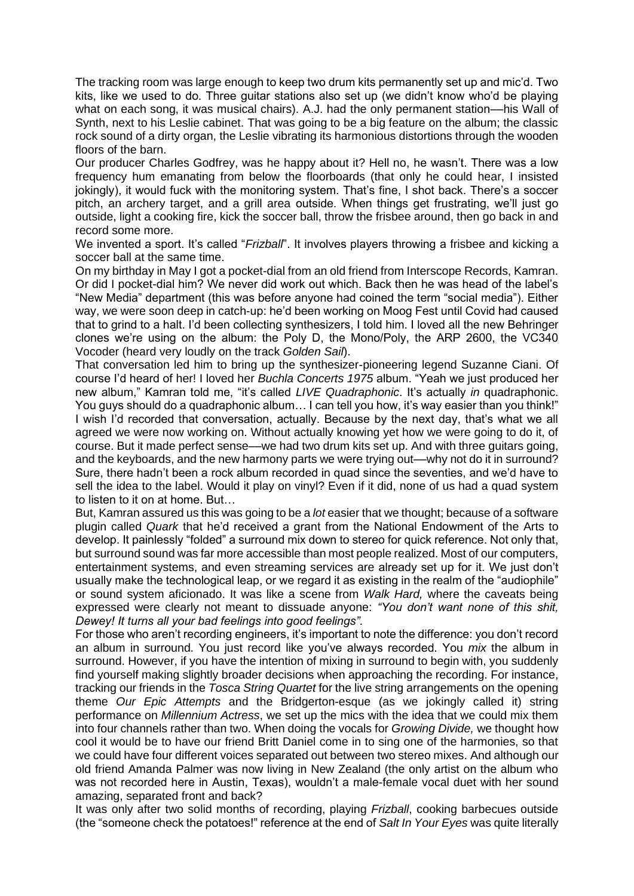The tracking room was large enough to keep two drum kits permanently set up and mic'd. Two kits, like we used to do. Three guitar stations also set up (we didn't know who'd be playing what on each song, it was musical chairs). A.J. had the only permanent station––his Wall of Synth, next to his Leslie cabinet. That was going to be a big feature on the album; the classic rock sound of a dirty organ, the Leslie vibrating its harmonious distortions through the wooden floors of the barn.

Our producer Charles Godfrey, was he happy about it? Hell no, he wasn't. There was a low frequency hum emanating from below the floorboards (that only he could hear, I insisted jokingly), it would fuck with the monitoring system. That's fine, I shot back. There's a soccer pitch, an archery target, and a grill area outside. When things get frustrating, we'll just go outside, light a cooking fire, kick the soccer ball, throw the frisbee around, then go back in and record some more.

We invented a sport. It's called "*Frizball*". It involves players throwing a frisbee and kicking a soccer ball at the same time.

On my birthday in May I got a pocket-dial from an old friend from Interscope Records, Kamran. Or did I pocket-dial him? We never did work out which. Back then he was head of the label's "New Media" department (this was before anyone had coined the term "social media"). Either way, we were soon deep in catch-up: he'd been working on Moog Fest until Covid had caused that to grind to a halt. I'd been collecting synthesizers, I told him. I loved all the new Behringer clones we're using on the album: the Poly D, the Mono/Poly, the ARP 2600, the VC340 Vocoder (heard very loudly on the track *Golden Sail*).

That conversation led him to bring up the synthesizer-pioneering legend Suzanne Ciani. Of course I'd heard of her! I loved her *Buchla Concerts 1975* album. "Yeah we just produced her new album," Kamran told me, "it's called *LIVE Quadraphonic*. It's actually *in* quadraphonic. You guys should do a quadraphonic album... I can tell you how, it's way easier than you think!" I wish I'd recorded that conversation, actually. Because by the next day, that's what we all agreed we were now working on. Without actually knowing yet how we were going to do it, of course. But it made perfect sense––we had two drum kits set up. And with three guitars going, and the keyboards, and the new harmony parts we were trying out—why not do it in surround? Sure, there hadn't been a rock album recorded in quad since the seventies, and we'd have to sell the idea to the label. Would it play on vinyl? Even if it did, none of us had a quad system to listen to it on at home. But…

But, Kamran assured us this was going to be a *lot* easier that we thought; because of a software plugin called *Quark* that he'd received a grant from the National Endowment of the Arts to develop. It painlessly "folded" a surround mix down to stereo for quick reference. Not only that, but surround sound was far more accessible than most people realized. Most of our computers, entertainment systems, and even streaming services are already set up for it. We just don't usually make the technological leap, or we regard it as existing in the realm of the "audiophile" or sound system aficionado. It was like a scene from *Walk Hard,* where the caveats being expressed were clearly not meant to dissuade anyone: *"You don't want none of this shit, Dewey! It turns all your bad feelings into good feelings".*

For those who aren't recording engineers, it's important to note the difference: you don't record an album in surround. You just record like you've always recorded. You *mix* the album in surround. However, if you have the intention of mixing in surround to begin with, you suddenly find yourself making slightly broader decisions when approaching the recording. For instance, tracking our friends in the *Tosca String Quartet* for the live string arrangements on the opening theme *Our Epic Attempts* and the Bridgerton-esque (as we jokingly called it) string performance on *Millennium Actress*, we set up the mics with the idea that we could mix them into four channels rather than two. When doing the vocals for *Growing Divide,* we thought how cool it would be to have our friend Britt Daniel come in to sing one of the harmonies, so that we could have four different voices separated out between two stereo mixes. And although our old friend Amanda Palmer was now living in New Zealand (the only artist on the album who was not recorded here in Austin, Texas), wouldn't a male-female vocal duet with her sound amazing, separated front and back?

It was only after two solid months of recording, playing *Frizball*, cooking barbecues outside (the "someone check the potatoes!" reference at the end of *Salt In Your Eyes* was quite literally